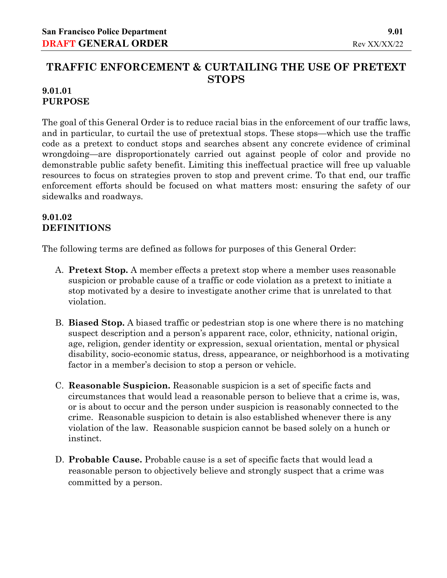# **TRAFFIC ENFORCEMENT & CURTAILING THE USE OF PRETEXT STOPS**

### **9.01.01 PURPOSE**

The goal of this General Order is to reduce racial bias in the enforcement of our traffic laws, and in particular, to curtail the use of pretextual stops. These stops—which use the traffic code as a pretext to conduct stops and searches absent any concrete evidence of criminal wrongdoing—are disproportionately carried out against people of color and provide no demonstrable public safety benefit. Limiting this ineffectual practice will free up valuable resources to focus on strategies proven to stop and prevent crime. To that end, our traffic enforcement efforts should be focused on what matters most: ensuring the safety of our sidewalks and roadways.

## **9.01.02 DEFINITIONS**

The following terms are defined as follows for purposes of this General Order:

- A. **Pretext Stop.** A member effects a pretext stop where a member uses reasonable suspicion or probable cause of a traffic or code violation as a pretext to initiate a stop motivated by a desire to investigate another crime that is unrelated to that violation.
- B. **Biased Stop.** A biased traffic or pedestrian stop is one where there is no matching suspect description and a person's apparent race, color, ethnicity, national origin, age, religion, gender identity or expression, sexual orientation, mental or physical disability, socio-economic status, dress, appearance, or neighborhood is a motivating factor in a member's decision to stop a person or vehicle.
- C. **Reasonable Suspicion.** Reasonable suspicion is a set of specific facts and circumstances that would lead a reasonable person to believe that a crime is, was, or is about to occur and the person under suspicion is reasonably connected to the crime. Reasonable suspicion to detain is also established whenever there is any violation of the law. Reasonable suspicion cannot be based solely on a hunch or instinct.
- D. **Probable Cause.** Probable cause is a set of specific facts that would lead a reasonable person to objectively believe and strongly suspect that a crime was committed by a person.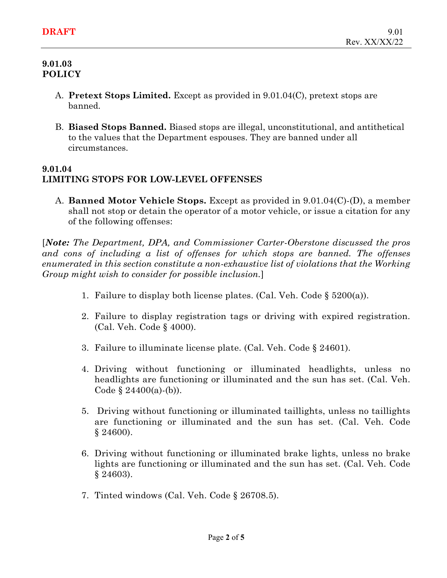### **9.01.03 POLICY**

- A. **Pretext Stops Limited.** Except as provided in 9.01.04(C), pretext stops are banned.
- B. **Biased Stops Banned.** Biased stops are illegal, unconstitutional, and antithetical to the values that the Department espouses. They are banned under all circumstances.

## **9.01.04 LIMITING STOPS FOR LOW-LEVEL OFFENSES**

A. **Banned Motor Vehicle Stops.** Except as provided in 9.01.04(C)-(D), a member shall not stop or detain the operator of a motor vehicle, or issue a citation for any of the following offenses:

[*Note: The Department, DPA, and Commissioner Carter-Oberstone discussed the pros and cons of including a list of offenses for which stops are banned. The offenses enumerated in this section constitute a non-exhaustive list of violations that the Working Group might wish to consider for possible inclusion.*]

- 1. Failure to display both license plates. (Cal. Veh. Code § 5200(a)).
- 2. Failure to display registration tags or driving with expired registration. (Cal. Veh. Code § 4000).
- 3. Failure to illuminate license plate. (Cal. Veh. Code § 24601).
- 4. Driving without functioning or illuminated headlights, unless no headlights are functioning or illuminated and the sun has set. (Cal. Veh. Code  $\S$  24400(a)-(b)).
- 5. Driving without functioning or illuminated taillights, unless no taillights are functioning or illuminated and the sun has set. (Cal. Veh. Code § 24600).
- 6. Driving without functioning or illuminated brake lights, unless no brake lights are functioning or illuminated and the sun has set. (Cal. Veh. Code § 24603).
- 7. Tinted windows (Cal. Veh. Code § 26708.5).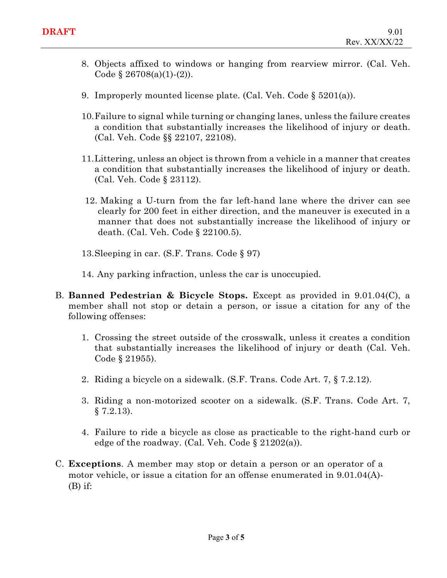- 8. Objects affixed to windows or hanging from rearview mirror. (Cal. Veh. Code  $\S 26708(a)(1)-(2)$ .
- 9. Improperly mounted license plate. (Cal. Veh. Code  $\S 5201(a)$ ).
- 10.Failure to signal while turning or changing lanes, unless the failure creates a condition that substantially increases the likelihood of injury or death. (Cal. Veh. Code §§ 22107, 22108).
- 11.Littering, unless an object is thrown from a vehicle in a manner that creates a condition that substantially increases the likelihood of injury or death. (Cal. Veh. Code § 23112).
- 12. Making a U-turn from the far left-hand lane where the driver can see clearly for 200 feet in either direction, and the maneuver is executed in a manner that does not substantially increase the likelihood of injury or death. (Cal. Veh. Code § 22100.5).
- 13.Sleeping in car. (S.F. Trans. Code § 97)
- 14. Any parking infraction, unless the car is unoccupied.
- B. **Banned Pedestrian & Bicycle Stops.** Except as provided in 9.01.04(C), a member shall not stop or detain a person, or issue a citation for any of the following offenses:
	- 1. Crossing the street outside of the crosswalk, unless it creates a condition that substantially increases the likelihood of injury or death (Cal. Veh. Code § 21955).
	- 2. Riding a bicycle on a sidewalk. (S.F. Trans. Code Art. 7, § 7.2.12).
	- 3. Riding a non-motorized scooter on a sidewalk. (S.F. Trans. Code Art. 7,  $§ 7.2.13$ .
	- 4. Failure to ride a bicycle as close as practicable to the right-hand curb or edge of the roadway. (Cal. Veh. Code  $\S 21202(a)$ ).
- C. **Exceptions**. A member may stop or detain a person or an operator of a motor vehicle, or issue a citation for an offense enumerated in 9.01.04(A)-  $(B)$  if: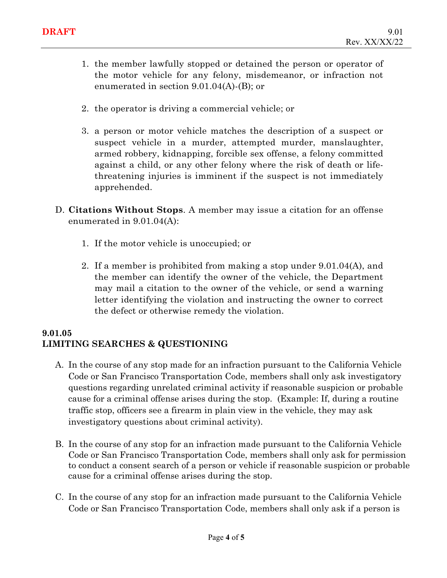- 1. the member lawfully stopped or detained the person or operator of the motor vehicle for any felony, misdemeanor, or infraction not enumerated in section 9.01.04(A)-(B); or
- 2. the operator is driving a commercial vehicle; or
- 3. a person or motor vehicle matches the description of a suspect or suspect vehicle in a murder, attempted murder, manslaughter, armed robbery, kidnapping, forcible sex offense, a felony committed against a child, or any other felony where the risk of death or lifethreatening injuries is imminent if the suspect is not immediately apprehended.
- D. **Citations Without Stops**. A member may issue a citation for an offense enumerated in 9.01.04(A):
	- 1. If the motor vehicle is unoccupied; or
	- 2. If a member is prohibited from making a stop under 9.01.04(A), and the member can identify the owner of the vehicle, the Department may mail a citation to the owner of the vehicle, or send a warning letter identifying the violation and instructing the owner to correct the defect or otherwise remedy the violation.

### **9.01.05 LIMITING SEARCHES & QUESTIONING**

- A. In the course of any stop made for an infraction pursuant to the California Vehicle Code or San Francisco Transportation Code, members shall only ask investigatory questions regarding unrelated criminal activity if reasonable suspicion or probable cause for a criminal offense arises during the stop. (Example: If, during a routine traffic stop, officers see a firearm in plain view in the vehicle, they may ask investigatory questions about criminal activity).
- B. In the course of any stop for an infraction made pursuant to the California Vehicle Code or San Francisco Transportation Code, members shall only ask for permission to conduct a consent search of a person or vehicle if reasonable suspicion or probable cause for a criminal offense arises during the stop.
- C. In the course of any stop for an infraction made pursuant to the California Vehicle Code or San Francisco Transportation Code, members shall only ask if a person is